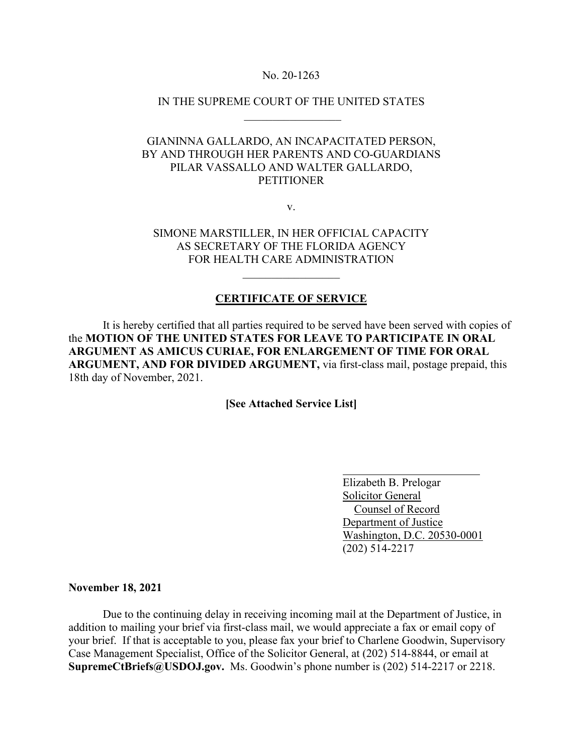### No. 20-1263

## IN THE SUPREME COURT OF THE UNITED STATES  $\frac{1}{2}$  ,  $\frac{1}{2}$  ,  $\frac{1}{2}$  ,  $\frac{1}{2}$  ,  $\frac{1}{2}$  ,  $\frac{1}{2}$  ,  $\frac{1}{2}$  ,  $\frac{1}{2}$  ,  $\frac{1}{2}$  ,  $\frac{1}{2}$

# GIANINNA GALLARDO, AN INCAPACITATED PERSON, BY AND THROUGH HER PARENTS AND CO-GUARDIANS PILAR VASSALLO AND WALTER GALLARDO, **PETITIONER**

v.

## SIMONE MARSTILLER, IN HER OFFICIAL CAPACITY AS SECRETARY OF THE FLORIDA AGENCY FOR HEALTH CARE ADMINISTRATION

 $\mathcal{L}$  , we have the set of the set of the set of the set of the set of the set of the set of the set of the set of the set of the set of the set of the set of the set of the set of the set of the set of the set of the

### **CERTIFICATE OF SERVICE**

 It is hereby certified that all parties required to be served have been served with copies of the **MOTION OF THE UNITED STATES FOR LEAVE TO PARTICIPATE IN ORAL ARGUMENT AS AMICUS CURIAE, FOR ENLARGEMENT OF TIME FOR ORAL ARGUMENT, AND FOR DIVIDED ARGUMENT,** via first-class mail, postage prepaid, this 18th day of November, 2021.

**[See Attached Service List]**

 Elizabeth B. Prelogar Solicitor General Counsel of Record Department of Justice Washington, D.C. 20530-0001 (202) 514-2217

#### **November 18, 2021**

Due to the continuing delay in receiving incoming mail at the Department of Justice, in addition to mailing your brief via first-class mail, we would appreciate a fax or email copy of your brief. If that is acceptable to you, please fax your brief to Charlene Goodwin, Supervisory Case Management Specialist, Office of the Solicitor General, at (202) 514-8844, or email at **SupremeCtBriefs@USDOJ.gov.** Ms. Goodwin's phone number is (202) 514-2217 or 2218.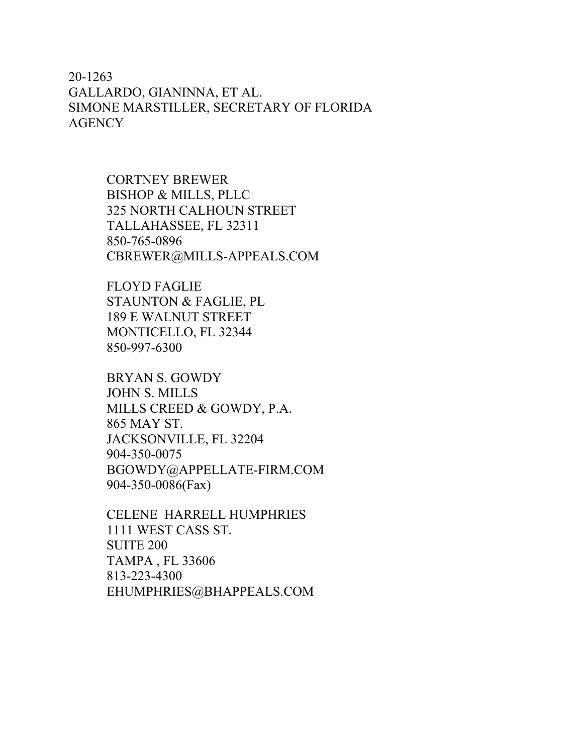20-1263 GALLARDO, GIANINNA, ET AL. SIMONE MARSTILLER, SECRETARY OF FLORIDA **AGENCY** 

> CORTNEY BREWER BISHOP & MILLS, PLLC 325 NORTH CALHOUN STREET TALLAHASSEE, FL 32311 850-765-0896 CBREWER@MILLS-APPEALS.COM

FLOYD FAGLIE STAUNTON & FAGLIE, PL 189 E WALNUT STREET MONTICELLO, FL 32344 850-997-6300

BRYAN S. GOWDY JOHN S. MILLS MILLS CREED & GOWDY, P.A. 865 MAY ST. JACKSONVILLE, FL 32204 904-350-0075 BGOWDY@APPELLATE-FIRM.COM 904-350-0086(Fax)

CELENE HARRELL HUMPHRIES 1111 WEST CASS ST. SUITE 200 TAMPA , FL 33606 813-223-4300 EHUMPHRIES@BHAPPEALS.COM